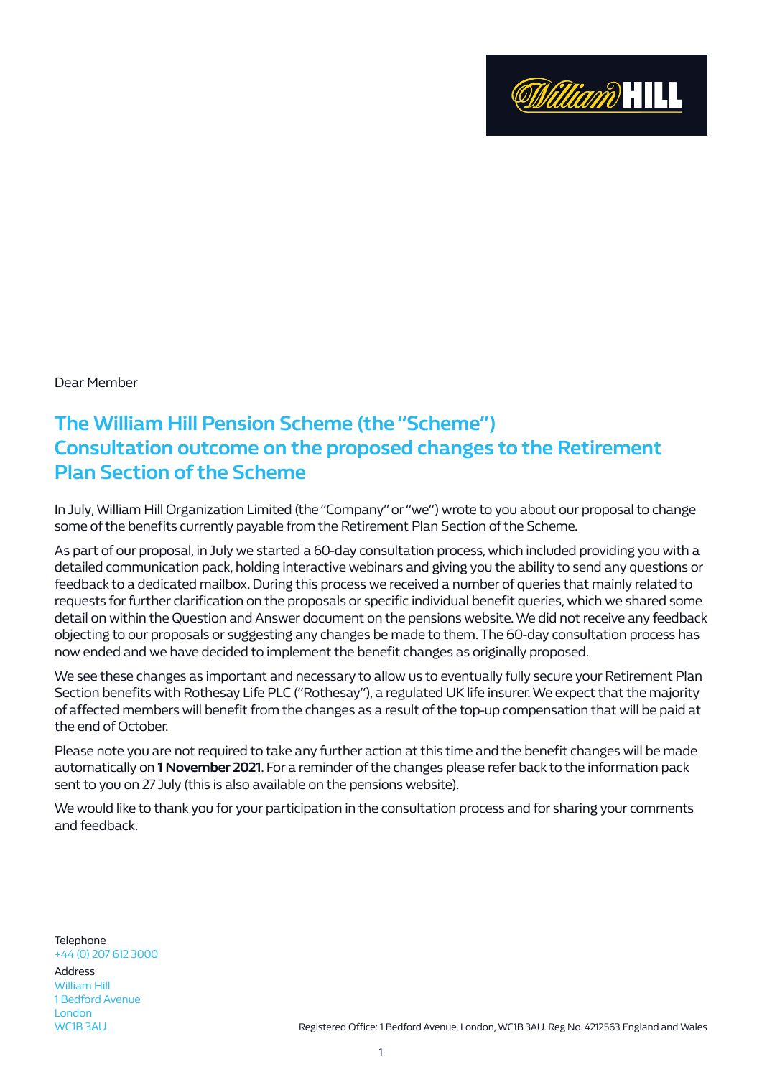

Dear Member

## **The William Hill Pension Scheme (the "Scheme") Consultation outcome on the proposed changes to the Retirement Plan Section of the Scheme**

In July, William Hill Organization Limited (the "Company" or "we") wrote to you about our proposal to change some of the benefits currently payable from the Retirement Plan Section of the Scheme.

As part of our proposal, in July we started a 60-day consultation process, which included providing you with a detailed communication pack, holding interactive webinars and giving you the ability to send any questions or feedback to a dedicated mailbox. During this process we received a number of queries that mainly related to requests for further clarification on the proposals or specific individual benefit queries, which we shared some detail on within the Question and Answer document on the pensions website. We did not receive any feedback objecting to our proposals or suggesting any changes be made to them. The 60-day consultation process has now ended and we have decided to implement the benefit changes as originally proposed.

We see these changes as important and necessary to allow us to eventually fully secure your Retirement Plan Section benefits with Rothesay Life PLC ("Rothesay"), a regulated UK life insurer. We expect that the majority of affected members will benefit from the changes as a result of the top-up compensation that will be paid at the end of October.

Please note you are not required to take any further action at this time and the benefit changes will be made automatically on **1 November 2021**. For a reminder of the changes please refer back to the information pack sent to you on 27 July (this is also available on the pensions website).

We would like to thank you for your participation in the consultation process and for sharing your comments and feedback.

**Telephone** +44 (0) 207 612 3000 Address William Hill 1 Bedford Avenue London